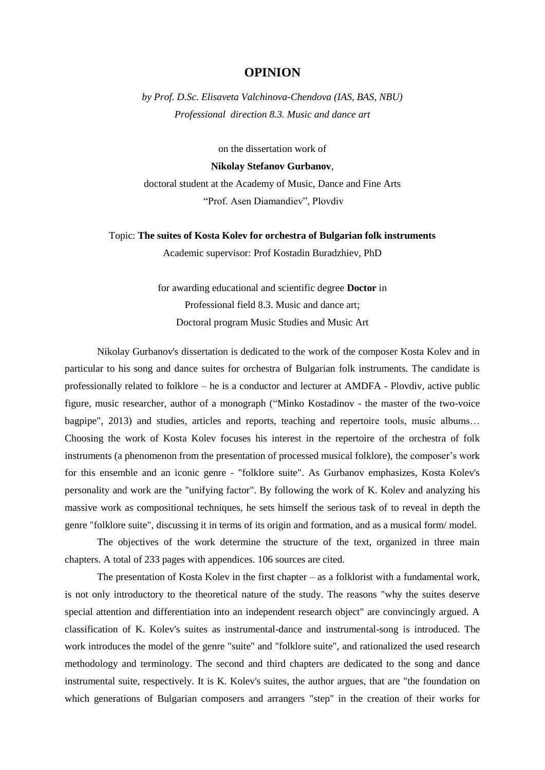## **OPINION**

*by Prof. D.Sc. Elisaveta Valchinova-Chendova (IAS, BAS, NBU) Professional direction 8.3. Music and dance art*

on the dissertation work of **Nikolay Stefanov Gurbanov**, doctoral student at the Academy of Music, Dance and Fine Arts "Prof. Asen Diamandiev", Plovdiv

Topic: **The suites of Kosta Kolev for orchestra of Bulgarian folk instruments** Academic supervisor: Prof Kostadin Buradzhiev, PhD

> for awarding educational and scientific degree **Doctor** in Professional field 8.3. Music and dance art; Doctoral program Music Studies and Music Art

Nikolay Gurbanov's dissertation is dedicated to the work of the composer Kosta Kolev and in particular to his song and dance suites for orchestra of Bulgarian folk instruments. The candidate is professionally related to folklore – he is a conductor and lecturer at AMDFA - Plovdiv, active public figure, music researcher, author of a monograph ("Minko Kostadinov - the master of the two-voice bagpipe", 2013) and studies, articles and reports, teaching and repertoire tools, music albums… Choosing the work of Kosta Kolev focuses his interest in the repertoire of the orchestra of folk instruments (a phenomenon from the presentation of processed musical folklore), the composer's work for this ensemble and an iconic genre - "folklore suite". As Gurbanov emphasizes, Kosta Kolev's personality and work are the "unifying factor". By following the work of K. Kolev and analyzing his massive work as compositional techniques, he sets himself the serious task of to reveal in depth the genre "folklore suite", discussing it in terms of its origin and formation, and as a musical form/ model.

The objectives of the work determine the structure of the text, organized in three main chapters. A total of 233 pages with appendices. 106 sources are cited.

The presentation of Kosta Kolev in the first chapter – as a folklorist with a fundamental work, is not only introductory to the theoretical nature of the study. The reasons "why the suites deserve special attention and differentiation into an independent research object" are convincingly argued. A classification of K. Kolev's suites as instrumental-dance and instrumental-song is introduced. The work introduces the model of the genre "suite" and "folklore suite", and rationalized the used research methodology and terminology. The second and third chapters are dedicated to the song and dance instrumental suite, respectively. It is K. Kolev's suites, the author argues, that are "the foundation on which generations of Bulgarian composers and arrangers "step" in the creation of their works for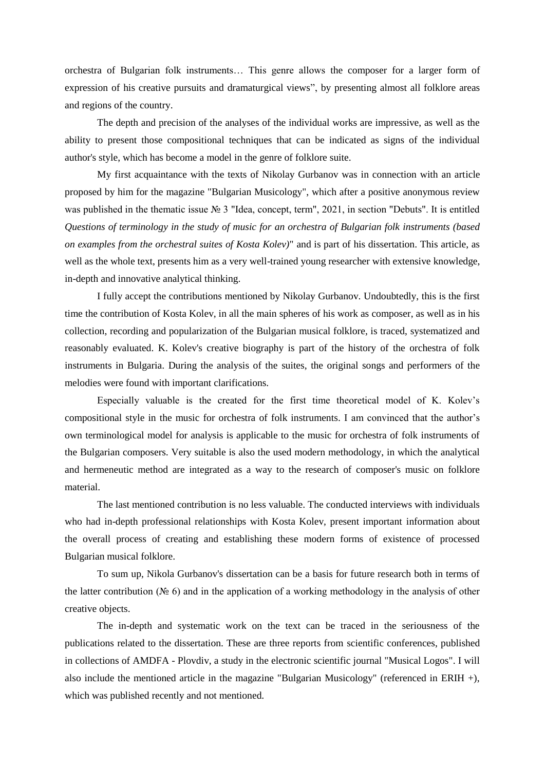orchestra of Bulgarian folk instruments… This genre allows the composer for a larger form of expression of his creative pursuits and dramaturgical views", by presenting almost all folklore areas and regions of the country.

The depth and precision of the analyses of the individual works are impressive, as well as the ability to present those compositional techniques that can be indicated as signs of the individual author's style, which has become a model in the genre of folklore suite.

My first acquaintance with the texts of Nikolay Gurbanov was in connection with an article proposed by him for the magazine "Bulgarian Musicology", which after a positive anonymous review was published in the thematic issue № 3 "Idea, concept, term", 2021, in section "Debuts". It is entitled *Questions of terminology in the study of music for an orchestra of Bulgarian folk instruments (based on examples from the orchestral suites of Kosta Kolev)*" and is part of his dissertation. This article, as well as the whole text, presents him as a very well-trained young researcher with extensive knowledge, in-depth and innovative analytical thinking.

I fully accept the contributions mentioned by Nikolay Gurbanov. Undoubtedly, this is the first time the contribution of Kosta Kolev, in all the main spheres of his work as composer, as well as in his collection, recording and popularization of the Bulgarian musical folklore, is traced, systematized and reasonably evaluated. K. Kolev's creative biography is part of the history of the orchestra of folk instruments in Bulgaria. During the analysis of the suites, the original songs and performers of the melodies were found with important clarifications.

Especially valuable is the created for the first time theoretical model of K. Kolev's compositional style in the music for orchestra of folk instruments. I am convinced that the author's own terminological model for analysis is applicable to the music for orchestra of folk instruments of the Bulgarian composers. Very suitable is also the used modern methodology, in which the analytical and hermeneutic method are integrated as a way to the research of composer's music on folklore material.

The last mentioned contribution is no less valuable. The conducted interviews with individuals who had in-depth professional relationships with Kosta Kolev, present important information about the overall process of creating and establishing these modern forms of existence of processed Bulgarian musical folklore.

To sum up, Nikola Gurbanov's dissertation can be a basis for future research both in terms of the latter contribution (№ 6) and in the application of a working methodology in the analysis of other creative objects.

The in-depth and systematic work on the text can be traced in the seriousness of the publications related to the dissertation. These are three reports from scientific conferences, published in collections of AMDFA - Plovdiv, a study in the electronic scientific journal "Musical Logos". I will also include the mentioned article in the magazine "Bulgarian Musicology" (referenced in ERIH +), which was published recently and not mentioned.